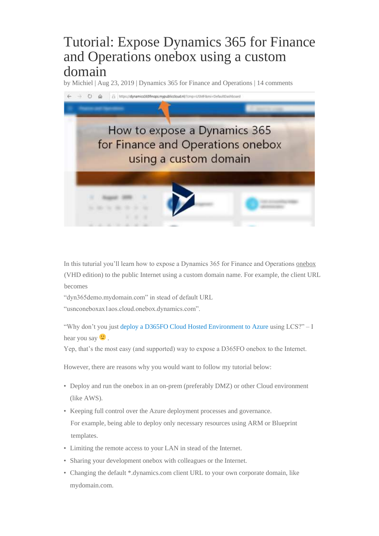# Tutorial: Expose Dynamics 365 for Finance and Operations onebox using a custom domain

by Michiel | Aug 23, 2019 | Dynamics 365 for Finance and Operations | 14 comments



In this tuturial you'll learn how to expose a Dynamics 365 for Finance and Operations onebox (VHD edition) to the public Internet using a custom domain name. For example, the client URL becomes

"dyn365demo.mydomain.com" in stead of default URL

"usnconeboxax1aos.cloud.onebox.dynamics.com".

"Why don't you just deploy a D365FO Cloud Hosted Environment to Azure using LCS?" – I hear you say  $\ddot{\mathbf{C}}$ .

Yep, that's the most easy (and supported) way to expose a D365FO onebox to the Internet.

However, there are reasons why you would want to follow my tutorial below:

- Deploy and run the onebox in an on-prem (preferably DMZ) or other Cloud environment (like AWS).
- Keeping full control over the Azure deployment processes and governance. For example, being able to deploy only necessary resources using ARM or Blueprint templates.
- Limiting the remote access to your LAN in stead of the Internet.
- Sharing your development onebox with colleagues or the Internet.
- Changing the default \*.dynamics.com client URL to your own corporate domain, like mydomain.com.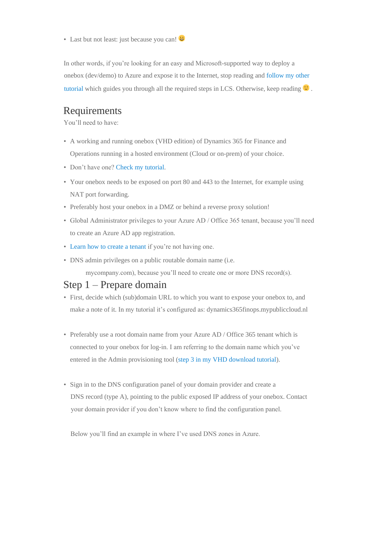• Last but not least: just because you can!

In other words, if you're looking for an easy and Microsoft-supported way to deploy a onebox (dev/demo) to Azure and expose it to the Internet, stop reading and follow my other tutorial which guides you through all the required steps in LCS. Otherwise, keep reading  $\bullet$ .

#### Requirements

You'll need to have:

- A working and running onebox (VHD edition) of Dynamics 365 for Finance and Operations running in a hosted environment (Cloud or on-prem) of your choice.
- Don't have one? Check my tutorial.
- Your onebox needs to be exposed on port 80 and 443 to the Internet, for example using NAT port forwarding.
- Preferably host your onebox in a DMZ or behind a reverse proxy solution!
- Global Administrator privileges to your Azure AD / Office 365 tenant, because you'll need to create an Azure AD app registration.
- Learn how to create a tenant if you're not having one.
- DNS admin privileges on a public routable domain name (i.e. mycompany.com), because you'll need to create one or more DNS record(s).

#### Step 1 – Prepare domain

- First, decide which (sub)domain URL to which you want to expose your onebox to, and make a note of it. In my tutorial it's configured as: dynamics365finops.mypubliccloud.nl
- Preferably use a root domain name from your Azure AD / Office 365 tenant which is connected to your onebox for log-in. I am referring to the domain name which you've entered in the Admin provisioning tool (step 3 in my VHD download tutorial).
- Sign in to the DNS configuration panel of your domain provider and create a DNS record (type A), pointing to the public exposed IP address of your onebox. Contact your domain provider if you don't know where to find the configuration panel.

Below you'll find an example in where I've used DNS zones in Azure.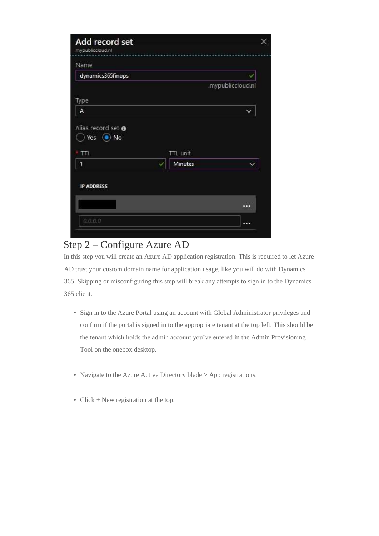| dynamics365finops |                            |                   |
|-------------------|----------------------------|-------------------|
|                   |                            | .mypubliccloud.nl |
| Type              |                            |                   |
| A                 |                            |                   |
|                   |                            |                   |
| TTL.              | TTL unit<br><b>Minutes</b> |                   |

## Step 2 – Configure Azure AD

In this step you will create an Azure AD application registration. This is required to let Azure AD trust your custom domain name for application usage, like you will do with Dynamics 365. Skipping or misconfiguring this step will break any attempts to sign in to the Dynamics 365 client.

- Sign in to the Azure Portal using an account with Global Administrator privileges and confirm if the portal is signed in to the appropriate tenant at the top left. This should be the tenant which holds the admin account you've entered in the Admin Provisioning Tool on the onebox desktop.
- Navigate to the Azure Active Directory blade > App registrations.
- Click + New registration at the top.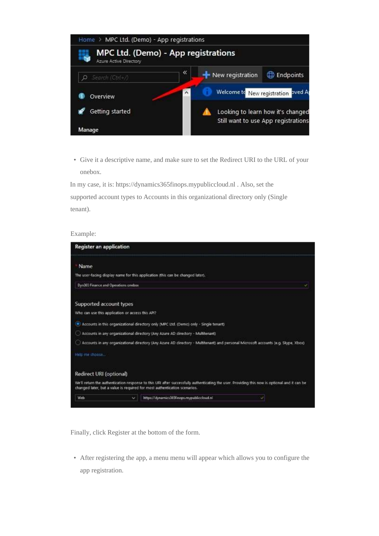

• Give it a descriptive name, and make sure to set the Redirect URI to the URL of your onebox.

In my case, it is: https://dynamics365finops.mypubliccloud.nl . Also, set the supported account types to Accounts in this organizational directory only (Single tenant).

#### Example:

| <b>Register an application</b>                   |   |                                                                                                                                                                                                                            |
|--------------------------------------------------|---|----------------------------------------------------------------------------------------------------------------------------------------------------------------------------------------------------------------------------|
| Name                                             |   |                                                                                                                                                                                                                            |
|                                                  |   | The user-facing display name for this application ithis can be changed later).                                                                                                                                             |
| Dyn365 Finance and Operations onebox             |   | v                                                                                                                                                                                                                          |
| Supported account types                          |   |                                                                                                                                                                                                                            |
| Who can use this application or access this API? |   |                                                                                                                                                                                                                            |
|                                                  |   | (.) Accounts in this organizational directory only (MPC Ltd. (Demo) only - Single tenant)                                                                                                                                  |
|                                                  |   | Accounts in any organizational directory (Any Azure AD directory - Multitenant)                                                                                                                                            |
|                                                  |   | Accounts in any organizational directory (Any Azure AD cirectory - Multitenant) and personal Microsoft accounts (e.g. Skype, Xbox)                                                                                         |
| Help me choose                                   |   |                                                                                                                                                                                                                            |
| Redirect URI (optional)                          |   |                                                                                                                                                                                                                            |
|                                                  |   | We'll return the authentication response to this URI after successfully authenticating the user. Providing this now is optional and it can be<br>changed later, but a value is required for most authentication scenarios. |
| Web                                              | w | httpu//dynamics365finops.mypubliccloud.nl                                                                                                                                                                                  |

Finally, click Register at the bottom of the form.

• After registering the app, a menu menu will appear which allows you to configure the app registration.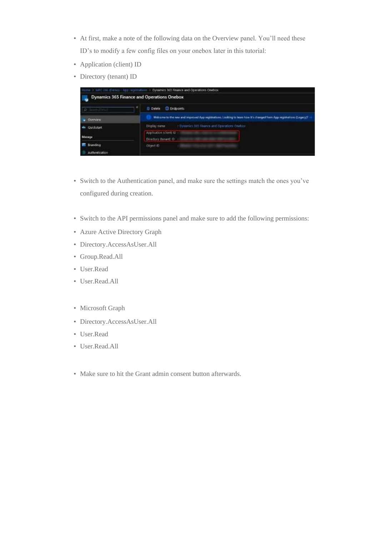- At first, make a note of the following data on the Overview panel. You'll need these ID's to modify a few config files on your onebox later in this tutorial:
- Application (client) ID
- Directory (tenant) ID

|                                | Home 3: MPC Hill (Denzi) - App regerintmen > Dynamics 865 Roance and Operations Onebox                                |
|--------------------------------|-----------------------------------------------------------------------------------------------------------------------|
|                                | Dynamics 365 Finance and Operations Onebox                                                                            |
| Ð                              | <b>Endpoints</b><br><b>III</b> Delete                                                                                 |
| Overview                       | Welcome to the new and improved App registrations. Looking to learn how it's changed from App registrations (Legacy)? |
| <b>Quidotait</b><br><b>ALC</b> | Dirplay name : Cymenics 365 Finance and Operations Unebox                                                             |
| Manage                         | Аррисасов вземе кать<br>Directory (tenant) O                                                                          |
| Branding<br>Authentication     | Object (D)                                                                                                            |

- Switch to the Authentication panel, and make sure the settings match the ones you've configured during creation.
- Switch to the API permissions panel and make sure to add the following permissions:
- Azure Active Directory Graph
- Directory.AccessAsUser.All
- Group.Read.All
- User.Read
- User.Read.All
- Microsoft Graph
- Directory.AccessAsUser.All
- User.Read
- User.Read.All
- Make sure to hit the Grant admin consent button afterwards.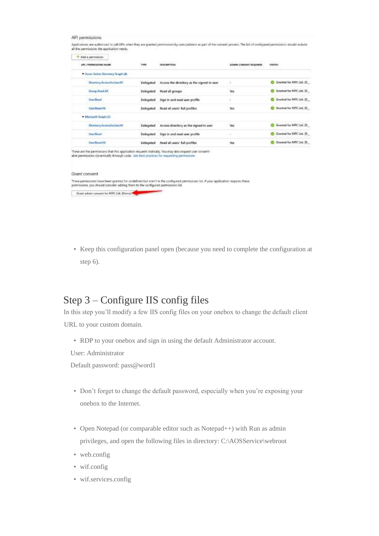#### API permissions

Applications are authorized to call APIs when they are granted permissions by userstadmin as part of the consent process. The list of configured permissions should include all the permissions the application needs.

| Ask a permission                   |                               |                                            |                              |                                             |
|------------------------------------|-------------------------------|--------------------------------------------|------------------------------|---------------------------------------------|
| <b>JUNE J. PERMENSIONAL NAMME</b>  | スクビスト<br>TIPE<br><b>XXXXX</b> | 전화에 대회로<br>DESCRIPTION                     | <b>АПМИК СОВБЕМТ ВЕЩИМЕЙ</b> | <b>KONSTANT</b><br><b>STATUS:</b><br>2월 40일 |
| " Azure Active Directory Graph (4) |                               |                                            |                              |                                             |
| Directory Accounts Use AT          | Delegated                     | Access the directory as the signed-in user | 52                           | Granted for MPC Ltd. (D                     |
| Group Arad All                     | Delegated                     | Read all groups                            | noth<br><b>Yes</b>           | C Granted for MPC Ltd. (D                   |
| <b>User Read</b>                   | <b>Delegated</b>              | Sign in and sead user profile              | $\sim$                       | Granted for MPC Ltd. (D                     |
| User Read All                      | Delegated                     | Read all users' full profiles              | Yes.                         | Granted for MPC Ltd. (D)                    |
| - Microsoft Graph (3)              |                               |                                            |                              |                                             |
| Directory.AccessAsUser.All         | Delegated                     | Access directory as the signed in user     | ws                           | Granted for MPC Ltd. (D)                    |
| <b>User Read</b>                   | Delegated                     | Sign in and sead user profile              | τ                            | Granted for MPC Ltd. (D                     |
| User Read AE                       | Delegated                     | Read all users' full profiles              | 'Ws                          | Granted for MPC Ltd. (D                     |

These are the permissions that this application requests statically. You may also request user of<br>able permissions dynamically through code. See best practices for requesting permissions

#### Grant consent

These permissions have been granted for undefined but aren't in the configured permissions list. If your application requires these<br>permissions, you should consider adding them to the configured permissions list. Grant admin consent for MPC Ltd. (Dama)

• Keep this configuration panel open (because you need to complete the configuration at step 6).

### Step 3 – Configure IIS config files

In this step you'll modify a few IIS config files on your onebox to change the default client URL to your custom domain.

• RDP to your onebox and sign in using the default Administrator account.

User: Administrator

Default password: pass@word1

- Don't forget to change the default password, especially when you're exposing your onebox to the Internet.
- Open Notepad (or comparable editor such as Notepad++) with Run as admin privileges, and open the following files in directory: C:\AOSService\webroot
- web.config
- wif.config
- wif.services.config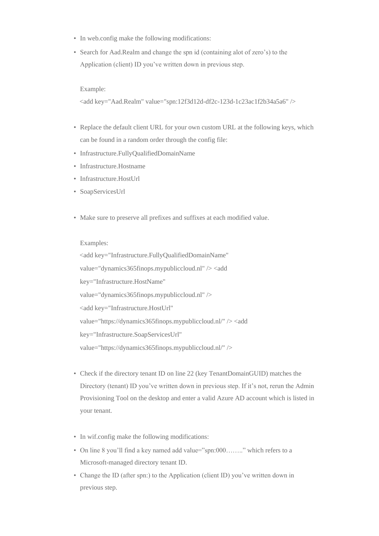- In web.config make the following modifications:
- Search for Aad.Realm and change the spn id (containing alot of zero's) to the Application (client) ID you've written down in previous step.

Example:

<add key="Aad.Realm" value="spn:12f3d12d-df2c-123d-1c23ac1f2b34a5a6" />

- Replace the default client URL for your own custom URL at the following keys, which can be found in a random order through the config file:
- Infrastructure.FullyQualifiedDomainName
- Infrastructure.Hostname
- Infrastructure.HostUrl
- SoapServicesUrl
- Make sure to preserve all prefixes and suffixes at each modified value.

Examples:

<add key="Infrastructure.FullyQualifiedDomainName" value="dynamics365finops.mypubliccloud.nl" /> <add key="Infrastructure.HostName" value="dynamics365finops.mypubliccloud.nl" /> <add key="Infrastructure.HostUrl" value="https://dynamics365finops.mypubliccloud.nl/" /> <add key="Infrastructure.SoapServicesUrl" value="https://dynamics365finops.mypubliccloud.nl/" />

- Check if the directory tenant ID on line 22 (key TenantDomainGUID) matches the Directory (tenant) ID you've written down in previous step. If it's not, rerun the Admin Provisioning Tool on the desktop and enter a valid Azure AD account which is listed in your tenant.
- In wif.config make the following modifications:
- On line 8 you'll find a key named add value="spn:000…….." which refers to a Microsoft-managed directory tenant ID.
- Change the ID (after spn:) to the Application (client ID) you've written down in previous step.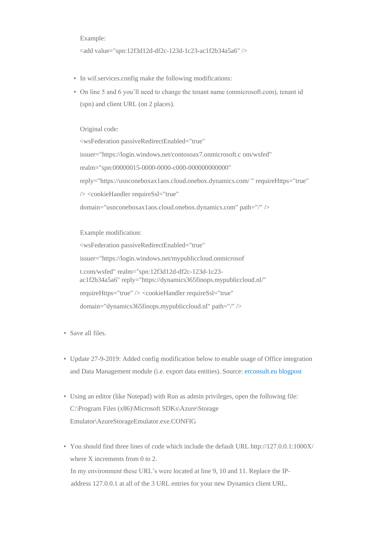#### Example:

<add value="spn:12f3d12d-df2c-123d-1c23-ac1f2b34a5a6" />

- In wif.services.config make the following modifications:
- On line 5 and 6 you'll need to change the tenant name (onmicrosoft.com), tenant id (spn) and client URL (on 2 places).

Original code:

<wsFederation passiveRedirectEnabled="true" issuer="https://login.windows.net/contosoax7.onmicrosoft.c om/wsfed" realm="spn:00000015-0000-0000-c000-000000000000" reply="https://usnconeboxax1aos.cloud.onebox.dynamics.com/ " requireHttps="true" /> <cookieHandler requireSsl="true" domain="usnconeboxax1aos.cloud.onebox.dynamics.com" path="/" />

Example modification: <wsFederation passiveRedirectEnabled="true" issuer="https://login.windows.net/mypubliccloud.onmicrosof t.com/wsfed" realm="spn:12f3d12d-df2c-123d-1c23 ac1f2b34a5a6" reply="https://dynamics365finops.mypubliccloud.nl/" requireHttps="true" /> <cookieHandler requireSsl="true" domain="dynamics365finops.mypubliccloud.nl" path="/" />

- Save all files.
- Update 27-9-2019: Added config modification below to enable usage of Office integration and Data Management module (i.e. export data entities). Source: erconsult.eu blogpost
- Using an editor (like Notepad) with Run as admin privileges, open the following file: C:\Program Files (x86)\Microsoft SDKs\Azure\Storage Emulator\AzureStorageEmulator.exe.CONFIG
- You should find three lines of code which include the default URL http://127.0.0.1:1000X/ where X increments from 0 to 2. In my environment these URL's were located at line 9, 10 and 11. Replace the IPaddress 127.0.0.1 at all of the 3 URL entries for your new Dynamics client URL.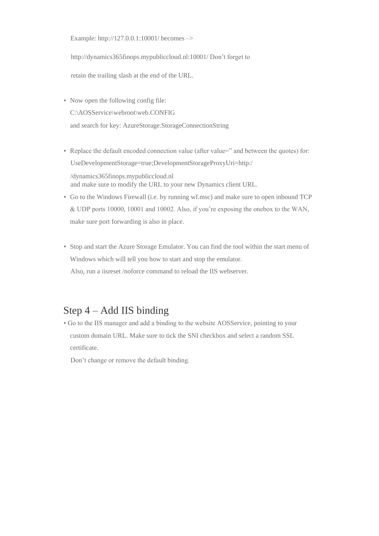Example: http://127.0.0.1:10001/ becomes –>

http://dynamics365finops.mypubliccloud.nl:10001/ Don't forget to

retain the trailing slash at the end of the URL.

- Now open the following config file: C:\AOSService\webroot\web.CONFIG and search for key: AzureStorage.StorageConnectionString
- Replace the default encoded connection value (after value=" and between the quotes) for: UseDevelopmentStorage=true;DevelopmentStorageProxyUri=http:/

/dynamics365finops.mypubliccloud.nl and make sure to modify the URL to your new Dynamics client URL.

- Go to the Windows Firewall (i.e. by running wf.msc) and make sure to open inbound TCP & UDP ports 10000, 10001 and 10002. Also, if you're exposing the onebox to the WAN, make sure port forwarding is also in place.
- Stop and start the Azure Storage Emulator. You can find the tool within the start menu of Windows which will tell you how to start and stop the emulator. Also, run a iisreset /noforce command to reload the IIS webserver.

### Step 4 – Add IIS binding

• Go to the IIS manager and add a binding to the website AOSService, pointing to your custom domain URL. Make sure to tick the SNI checkbox and select a random SSL certificate.

Don't change or remove the default binding.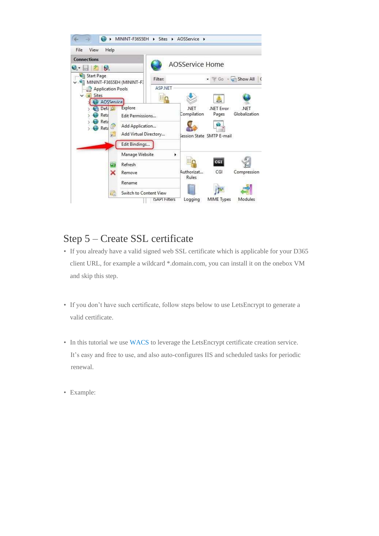

### Step 5 – Create SSL certificate

- If you already have a valid signed web SSL certificate which is applicable for your D365 client URL, for example a wildcard \*.domain.com, you can install it on the onebox VM and skip this step.
- If you don't have such certificate, follow steps below to use LetsEncrypt to generate a valid certificate.
- In this tutorial we use WACS to leverage the LetsEncrypt certificate creation service. It's easy and free to use, and also auto-configures IIS and scheduled tasks for periodic renewal.
- Example: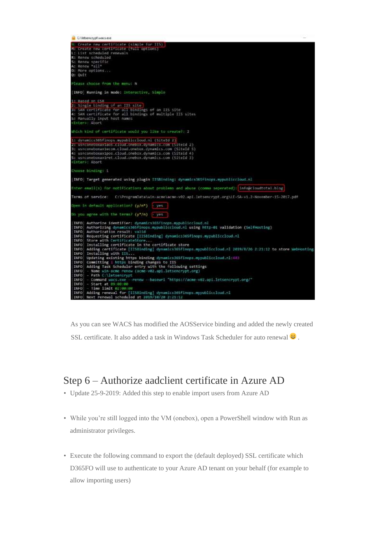```
Cilittencryptivecs.com
U: Create new certificate (simple for II<br>M: Create new certificate (full options)<br>L: List scheduled renewals<br>R: Ronew scheduled
5: Renew specific<br>A: Renew *all*
O: More options...<br>O: Ouit
 Please choose from the menu: N.
 [INFO] Running in mode: Interactive, Simple
 I Based on CSR
  I Single binding of an IIS site
   SAN certificate for all bindings of an IIS site<br>SAN certificate for all bindings of multiple IIS sites
 .<br>St Manually input host names<br>cEnter>: Abort
 Which kind of certificate would you like to create?: 2
 1: dynumics365finopu.mypubliccloud.nl (5iteId 2)
1: USHumacissos:Indputrialista (1986)<br>1998: Ushconeboxaxiaos.cioud.onebox.dynamics.com (5iteId 2)<br>1: Ushconeboxaxiecom.cioud.onebox.dynamics.com (5iteId 5)<br>1: Ushconeboxaxiret.cloud.onebox.dynamics.com (5iteId 3)<br>1: Ushcon
  Enter: Abort
 Lhouse binding: 1
 INFO] Target generated using plugin IISBinding: dynamics365finops.wypuhliccloud.nl
 Enter email(s) for notifications about problems and abuse (comma seperated): info@cloudtotal.blog
 Terms of service: C:\ProgramOata\win-acme\acme-v02.api.letsencrypt.org\LE-SA-v1.2-November-15-2017.pdf
 Open in default application? (y/n*) - yes
 On you agree with the terms? (y*/n) - yes
 THFD) Authorize identifier: dynamics365finops.mypubliccloud.nl<br>
INFD) Authorize identifier: dynamics365finops.mypubliccloud.nl using http-01 validation (SelfHosting)<br>
INFD) Authorization result: valid<br>
INFD) Requesting cer
         - Command Wacs.exe<br>- Start at 89.00:00<br>- Time limit 82.80:00
                                          .<br>renew --baseuri "https://acme-v82.api.letsencrypt.org/"
  TNFD
  INFO
  INFO
          Adding renewal for [IISBinding] dynamics365finops.mypubliccloud.el<br>Next renewal scheduled at 2019/10/20 2:21:12
  INFO
```
As you can see WACS has modified the AOSService binding and added the newly created SSL certificate. It also added a task in Windows Task Scheduler for auto renewal  $\ddot{\bullet}$ .

### Step 6 – Authorize aadclient certificate in Azure AD

- Update 25-9-2019: Added this step to enable import users from Azure AD
- While you're still logged into the VM (onebox), open a PowerShell window with Run as administrator privileges.
- Execute the following command to export the (default deployed) SSL certificate which D365FO will use to authenticate to your Azure AD tenant on your behalf (for example to allow importing users)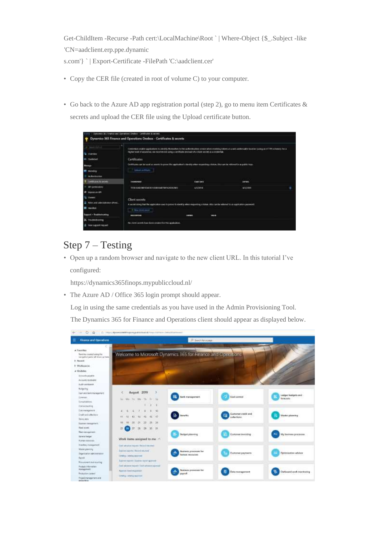Get-ChildItem -Recurse -Path cert:\LocalMachine\Root ` | Where-Object {\$\_.Subject -like 'CN=aadclient.erp.ppe.dynamic

s.com'} ` | Export-Certificate -FilePath 'C:\aadclient.cer'

- Copy the CER file (created in root of volume C) to your computer.
- Go back to the Azure AD app registration portal (step 2), go to menu item Certificates & secrets and upload the CER file using the Upload certificate button.

| Certificates                                     |                            |   |                                                                                                 |                                                                                                                                                                                                                                                                                                                                                                                                                                                                  |
|--------------------------------------------------|----------------------------|---|-------------------------------------------------------------------------------------------------|------------------------------------------------------------------------------------------------------------------------------------------------------------------------------------------------------------------------------------------------------------------------------------------------------------------------------------------------------------------------------------------------------------------------------------------------------------------|
|                                                  |                            |   |                                                                                                 |                                                                                                                                                                                                                                                                                                                                                                                                                                                                  |
| <b>TALL TO BE</b><br><b>INSTRUCTION</b>          | <b>Signal back</b>         |   | <b>LEMAN</b>                                                                                    |                                                                                                                                                                                                                                                                                                                                                                                                                                                                  |
| TOTAL NUMBER OF A REPORT OF A REPORT OF A REPORT | A/LTDFF                    |   | 4/3/300                                                                                         | ٠                                                                                                                                                                                                                                                                                                                                                                                                                                                                |
| Client secrets<br>4 Marched anno                 |                            |   |                                                                                                 |                                                                                                                                                                                                                                                                                                                                                                                                                                                                  |
| --------                                         | <b>STORES</b>              | - |                                                                                                 |                                                                                                                                                                                                                                                                                                                                                                                                                                                                  |
|                                                  | <b>Concel or Elizabeth</b> |   | higher level of accuracy, we recommend using a contriction technology must secret a create take | Crecimization and the applications to alleverily the exchange for development and when exchange to look and be called to action is party on HTTPs where the interest is not a<br>Critical as not be seed as secrecy to prove the september's development expecting a token, different be referred to an politic high<br>A surrich interpretation applicable is easily prove to identify when requesting a based Alter darker watered to as approximate password. |

# Step 7 – Testing

• Open up a random browser and navigate to the new client URL. In this tutorial I've configured:

https://dynamics365finops.mypubliccloud.nl/

• The Azure AD / Office 365 login prompt should appear.

Log in using the same credentials as you have used in the Admin Provisioning Tool.

The Dynamics 365 for Finance and Operations client should appear as displayed below.



F - 0 G - 5 mp avessethelinger